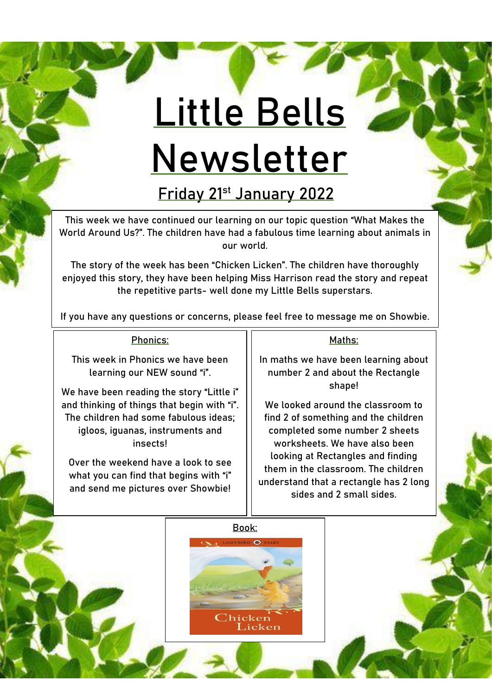## **Little Bells Newsletter**

**Friday 21st January 2022**

This week we have continued our learning on our topic question "**What Makes the World Around Us?**". The children have had a fabulous time learning about animals in our world.

The story of the week has been "**Chicken Licken".** The children have thoroughly enjoyed this story, they have been helping Miss Harrison read the story and repeat the repetitive parts- well done my Little Bells superstars.

If you have any questions or concerns, please feel free to message me on Showbie.

## Phonics:

This week in Phonics we have been learning our NEW sound "**i**".

We have been reading the story "Little i" and thinking of things that begin with "i". The children had some fabulous ideas; igloos, iguanas, instruments and insects!

Over the weekend have a look to see what you can find that begins with "i" and send me pictures over Showbie!

## Maths:

In maths we have been learning about number 2 and about the Rectangle shape!

We looked around the classroom to find 2 of something and the children completed some number 2 sheets worksheets. We have also been looking at Rectangles and finding them in the classroom. The children understand that a rectangle has 2 long sides and 2 small sides.